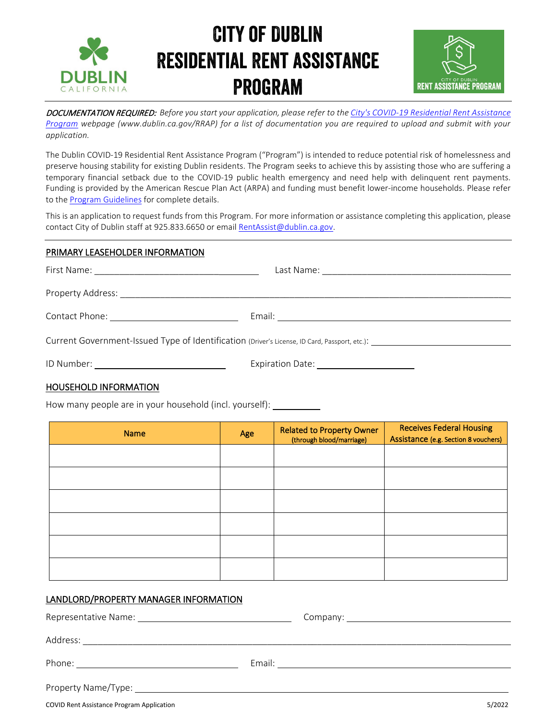



DOCUMENTATION REQUIRED: *Before you start your application, please refer to th[e City's COVID-19 Residential Rent Assistance](https://www.dublin.ca.gov/RRAP)  Program [webpage](https://www.dublin.ca.gov/RRAP) (www.dublin.ca.gov/RRAP) for a list of documentation you are required to upload and submit with your application.* 

The Dublin COVID-19 Residential Rent Assistance Program ("Program") is intended to reduce potential risk of homelessness and preserve housing stability for existing Dublin residents. The Program seeks to achieve this by assisting those who are suffering a temporary financial setback due to the COVID-19 public health emergency and need help with delinquent rent payments. Funding is provided by the American Rescue Plan Act (ARPA) and funding must benefit lower-income households. Please refer to the [Program Guidelines](https://www.dublin.ca.gov/DocumentCenter/View/30571/RAP-Rd-2-Program-Guidelines-2022) for complete details.

This is an application to request funds from this Program. For more information or assistance completing this application, please contact City of Dublin staff at 925.833.6650 or emai[l RentAssist@dublin.ca.gov.](mailto:RentAssist@dublin.ca.gov)

### PRIMARY LEASEHOLDER INFORMATION

| Current Government-Issued Type of Identification (Driver's License, ID Card, Passport, etc.): |                                                                                                                                           |  |  |
|-----------------------------------------------------------------------------------------------|-------------------------------------------------------------------------------------------------------------------------------------------|--|--|
| ID Number:                                                                                    | Expiration Date:<br><u> 1989 - Johann Barn, mars ann an t-Amhain Aonaich an t-Aonaich an t-Aonaich an t-Aonaich an t-Aonaich an t-Aon</u> |  |  |

### HOUSEHOLD INFORMATION

How many people are in your household (incl. yourself):

| <b>Name</b> | Age | <b>Related to Property Owner</b><br>(through blood/marriage) | <b>Receives Federal Housing</b><br>Assistance (e.g. Section 8 vouchers) |
|-------------|-----|--------------------------------------------------------------|-------------------------------------------------------------------------|
|             |     |                                                              |                                                                         |
|             |     |                                                              |                                                                         |
|             |     |                                                              |                                                                         |
|             |     |                                                              |                                                                         |
|             |     |                                                              |                                                                         |
|             |     |                                                              |                                                                         |

### LANDLORD/PROPERTY MANAGER INFORMATION

Representative Name: Company:

Address: \_\_\_\_\_\_\_\_\_\_\_\_\_\_\_\_\_\_\_\_\_\_\_\_\_\_\_\_\_\_\_\_\_\_\_\_\_\_\_\_\_\_\_\_\_\_\_\_\_\_\_\_\_\_\_\_\_\_\_\_\_\_\_\_\_\_\_\_\_\_\_\_\_\_\_\_\_

Phone: Email:

Property Name/Type:

COVID Rent Assistance Program Application 5/2022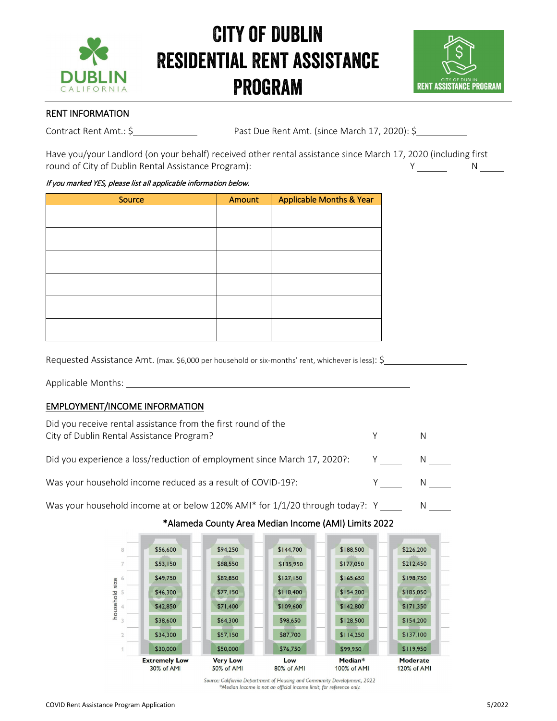



### RENT INFORMATION

Contract Rent Amt.: \$ Past Due Rent Amt. (since March 17, 2020): \$

Have you/your Landlord (on your behalf) received other rental assistance since March 17, 2020 (including first round of City of Dublin Rental Assistance Program): Y N

### If you marked YES, please list all applicable information below.

| Source | Amount | <b>Applicable Months &amp; Year</b> |
|--------|--------|-------------------------------------|
|        |        |                                     |
|        |        |                                     |
|        |        |                                     |
|        |        |                                     |
|        |        |                                     |
|        |        |                                     |
|        |        |                                     |
|        |        |                                     |
|        |        |                                     |
|        |        |                                     |
|        |        |                                     |
|        |        |                                     |

Requested Assistance Amt. (max. \$6,000 per household or six-months' rent, whichever is less): \$

Applicable Months:

### EMPLOYMENT/INCOME INFORMATION

| Did you receive rental assistance from the first round of the<br>City of Dublin Rental Assistance Program? |  |
|------------------------------------------------------------------------------------------------------------|--|
| Did you experience a loss/reduction of employment since March 17, 2020?:                                   |  |
| Was your household income reduced as a result of COVID-19?:                                                |  |

Was your household income at or below 120% AMI\* for  $1/1/20$  through today?:  $Y \_ \_ \_ \_ \_ \_ \_ \_ \_ \_ \_ \_ \_ \_ \_$ 

### \$56,600 \$94,250 \$144,700 \$188,500 \$226,200 \$177,050 \$212,450 \$53,150 \$88,550 \$135,950 \$82,850  $$127,150$ \$165,650 \$198,750 \$49,750 household size \$77,150 \$118,400  $$154,200$ \$185,050 \$46,300 5 \$71,400 \$109,600 \$142,800  $$171,350$ \$42,850 \$38,600 \$64,300 \$98,650 \$128,500  $$154,200$ \$34,300 \$57,150 \$87,700  $$114,250$  $$137,100$ \$50,000 \$76,750 \$119,950 \$30,000 \$99,950 **Extremely Low Very Low** Median\* Moderate Low 30% of AMI 50% of AMI 80% of AMI 100% of AMI 120% of AMI

## \*Alameda County Area Median Income (AMI) Limits 2022

Source: California Department of Housing and Community Development, 2022 \*Median Income is not an official income limit, for reference only.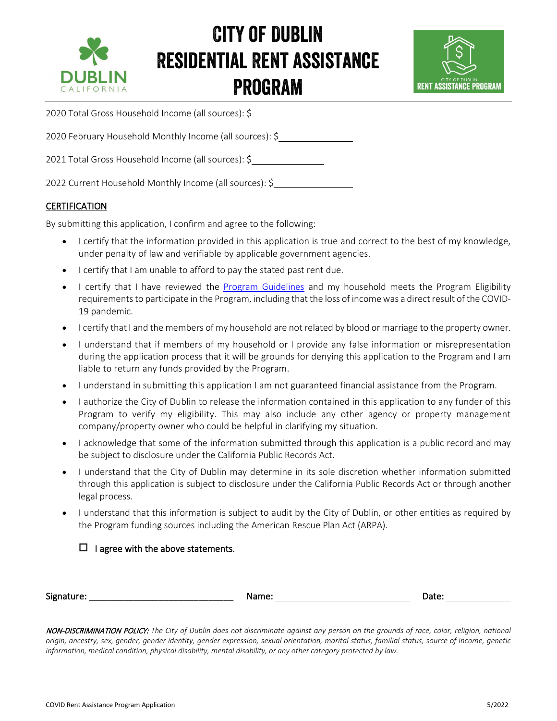



2020 Total Gross Household Income (all sources): \$

2020 February Household Monthly Income (all sources): \$

2021 Total Gross Household Income (all sources): \$

2022 Current Household Monthly Income (all sources): \$

### **CERTIFICATION**

By submitting this application, I confirm and agree to the following:

- I certify that the information provided in this application is true and correct to the best of my knowledge, under penalty of law and verifiable by applicable government agencies.
- I certify that I am unable to afford to pay the stated past rent due.
- I certify that I have reviewed the [Program Guidelines](https://www.dublin.ca.gov/DocumentCenter/View/30571/RAP-Rd-2-Program-Guidelines-2022) and my household meets the Program Eligibility requirements to participate in the Program, including that the loss of income was a direct result of the COVID-19 pandemic.
- I certify that I and the members of my household are not related by blood or marriage to the property owner.
- I understand that if members of my household or I provide any false information or misrepresentation during the application process that it will be grounds for denying this application to the Program and I am liable to return any funds provided by the Program.
- I understand in submitting this application I am not guaranteed financial assistance from the Program.
- I authorize the City of Dublin to release the information contained in this application to any funder of this Program to verify my eligibility. This may also include any other agency or property management company/property owner who could be helpful in clarifying my situation.
- I acknowledge that some of the information submitted through this application is a public record and may be subject to disclosure under the California Public Records Act.
- I understand that the City of Dublin may determine in its sole discretion whether information submitted through this application is subject to disclosure under the California Public Records Act or through another legal process.
- I understand that this information is subject to audit by the City of Dublin, or other entities as required by the Program funding sources including the American Rescue Plan Act (ARPA).

### $\Box$  I agree with the above statements.

| Signature: | Name <sup>.</sup> | Jdle. |
|------------|-------------------|-------|
|            |                   |       |

NON-DISCRIMINATION POLICY: *The City of Dublin does not discriminate against any person on the grounds of race, color, religion, national origin, ancestry, sex, gender, gender identity, gender expression, sexual orientation, marital status, familial status, source of income, genetic information, medical condition, physical disability, mental disability, or any other category protected by law.*